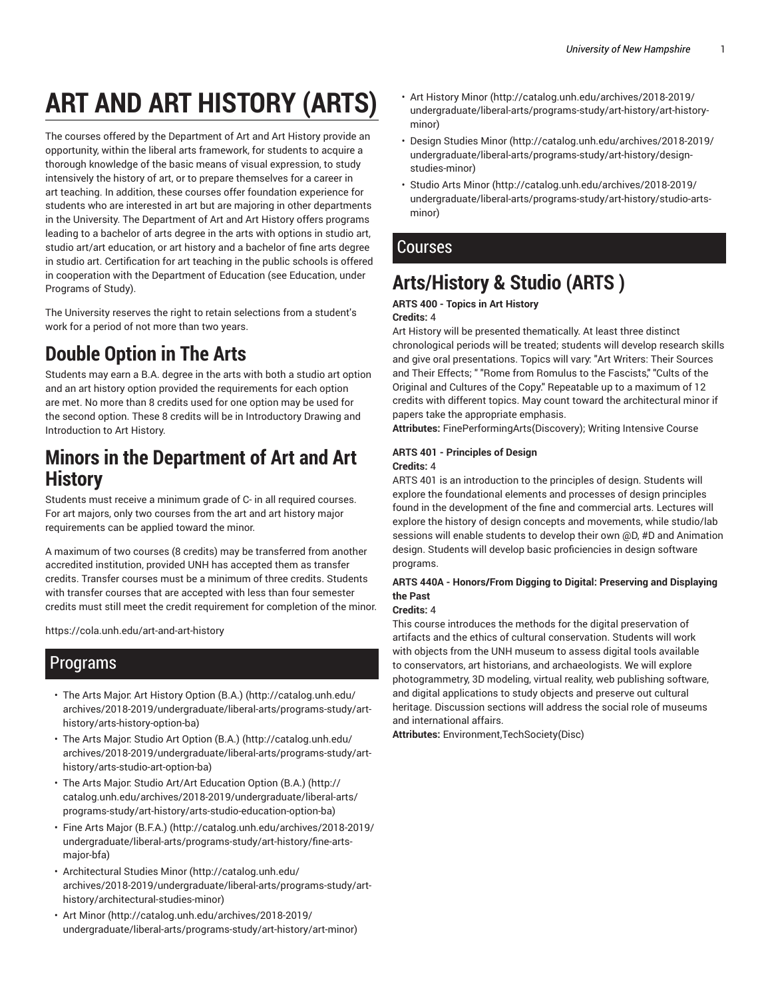# **ART AND ART HISTORY (ARTS)**

The courses offered by the Department of Art and Art History provide an opportunity, within the liberal arts framework, for students to acquire a thorough knowledge of the basic means of visual expression, to study intensively the history of art, or to prepare themselves for a career in art teaching. In addition, these courses offer foundation experience for students who are interested in art but are majoring in other departments in the University. The Department of Art and Art History offers programs leading to a bachelor of arts degree in the arts with options in studio art, studio art/art education, or art history and a bachelor of fine arts degree in studio art. Certification for art teaching in the public schools is offered in cooperation with the Department of Education (see Education, under Programs of Study).

The University reserves the right to retain selections from a student's work for a period of not more than two years.

## **Double Option in The Arts**

Students may earn a B.A. degree in the arts with both a studio art option and an art history option provided the requirements for each option are met. No more than 8 credits used for one option may be used for the second option. These 8 credits will be in Introductory Drawing and Introduction to Art History.

## **Minors in the Department of Art and Art History**

Students must receive a minimum grade of C- in all required courses. For art majors, only two courses from the art and art history major requirements can be applied toward the minor.

A maximum of two courses (8 credits) may be transferred from another accredited institution, provided UNH has accepted them as transfer credits. Transfer courses must be a minimum of three credits. Students with transfer courses that are accepted with less than four semester credits must still meet the credit requirement for completion of the minor.

https://cola.unh.edu/art-and-art-history

## Programs

- The Arts Major: Art History Option (B.A.) (http://catalog.unh.edu/ archives/2018-2019/undergraduate/liberal-arts/programs-study/arthistory/arts-history-option-ba)
- The Arts Major: Studio Art Option (B.A.) (http://catalog.unh.edu/ archives/2018-2019/undergraduate/liberal-arts/programs-study/arthistory/arts-studio-art-option-ba)
- The Arts Major: Studio Art/Art Education Option (B.A.) (http:// catalog.unh.edu/archives/2018-2019/undergraduate/liberal-arts/ programs-study/art-history/arts-studio-education-option-ba)
- Fine Arts Major (B.F.A.) (http://catalog.unh.edu/archives/2018-2019/ undergraduate/liberal-arts/programs-study/art-history/fine-artsmajor-bfa)
- Architectural Studies Minor (http://catalog.unh.edu/ archives/2018-2019/undergraduate/liberal-arts/programs-study/arthistory/architectural-studies-minor)
- Art Minor (http://catalog.unh.edu/archives/2018-2019/ undergraduate/liberal-arts/programs-study/art-history/art-minor)
- Art History Minor (http://catalog.unh.edu/archives/2018-2019/ undergraduate/liberal-arts/programs-study/art-history/art-historyminor)
- Design Studies Minor (http://catalog.unh.edu/archives/2018-2019/ undergraduate/liberal-arts/programs-study/art-history/designstudies-minor)
- Studio Arts Minor (http://catalog.unh.edu/archives/2018-2019/ undergraduate/liberal-arts/programs-study/art-history/studio-artsminor)

## **Courses**

## **Arts/History & Studio (ARTS )**

#### **ARTS 400 - Topics in Art History**

#### **Credits:** 4

Art History will be presented thematically. At least three distinct chronological periods will be treated; students will develop research skills and give oral presentations. Topics will vary: "Art Writers: Their Sources and Their Effects; " "Rome from Romulus to the Fascists," "Cults of the Original and Cultures of the Copy." Repeatable up to a maximum of 12 credits with different topics. May count toward the architectural minor if papers take the appropriate emphasis.

**Attributes:** FinePerformingArts(Discovery); Writing Intensive Course

#### **ARTS 401 - Principles of Design Credits:** 4

ARTS 401 is an introduction to the principles of design. Students will explore the foundational elements and processes of design principles found in the development of the fine and commercial arts. Lectures will explore the history of design concepts and movements, while studio/lab sessions will enable students to develop their own @D, #D and Animation design. Students will develop basic proficiencies in design software programs.

#### **ARTS 440A - Honors/From Digging to Digital: Preserving and Displaying the Past**

#### **Credits:** 4

This course introduces the methods for the digital preservation of artifacts and the ethics of cultural conservation. Students will work with objects from the UNH museum to assess digital tools available to conservators, art historians, and archaeologists. We will explore photogrammetry, 3D modeling, virtual reality, web publishing software, and digital applications to study objects and preserve out cultural heritage. Discussion sections will address the social role of museums and international affairs.

**Attributes:** Environment,TechSociety(Disc)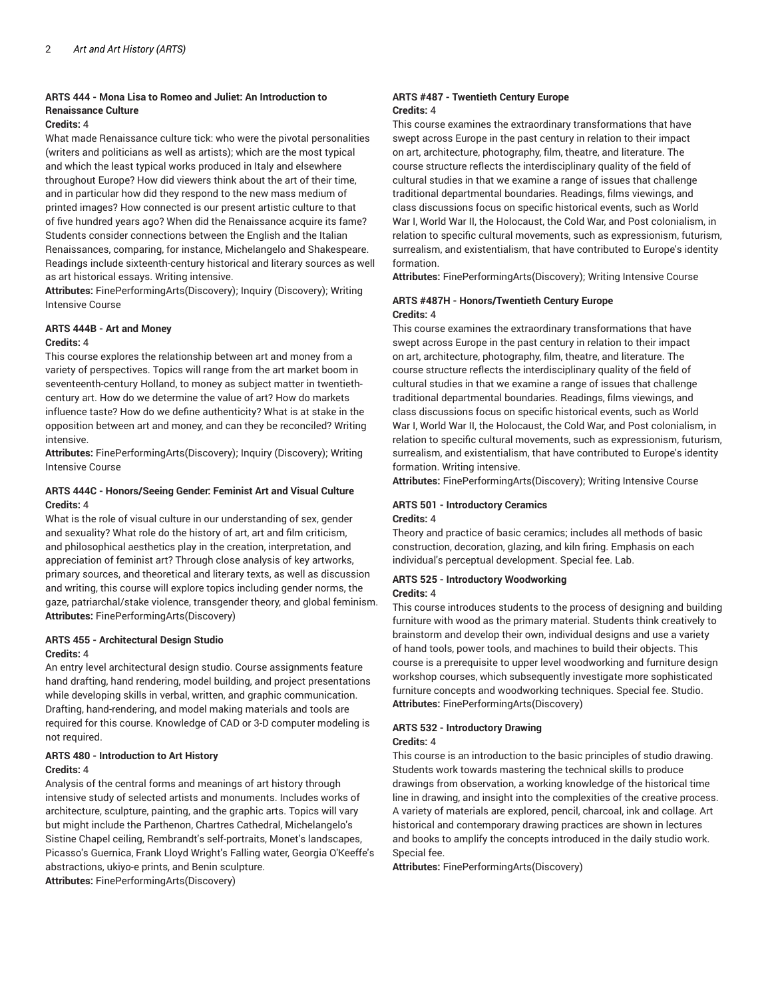#### **ARTS 444 - Mona Lisa to Romeo and Juliet: An Introduction to Renaissance Culture**

#### **Credits:** 4

What made Renaissance culture tick: who were the pivotal personalities (writers and politicians as well as artists); which are the most typical and which the least typical works produced in Italy and elsewhere throughout Europe? How did viewers think about the art of their time, and in particular how did they respond to the new mass medium of printed images? How connected is our present artistic culture to that of five hundred years ago? When did the Renaissance acquire its fame? Students consider connections between the English and the Italian Renaissances, comparing, for instance, Michelangelo and Shakespeare. Readings include sixteenth-century historical and literary sources as well as art historical essays. Writing intensive.

**Attributes:** FinePerformingArts(Discovery); Inquiry (Discovery); Writing Intensive Course

#### **ARTS 444B - Art and Money Credits:** 4

This course explores the relationship between art and money from a variety of perspectives. Topics will range from the art market boom in seventeenth-century Holland, to money as subject matter in twentiethcentury art. How do we determine the value of art? How do markets influence taste? How do we define authenticity? What is at stake in the opposition between art and money, and can they be reconciled? Writing intensive.

**Attributes:** FinePerformingArts(Discovery); Inquiry (Discovery); Writing Intensive Course

#### **ARTS 444C - Honors/Seeing Gender: Feminist Art and Visual Culture Credits:** 4

What is the role of visual culture in our understanding of sex, gender and sexuality? What role do the history of art, art and film criticism, and philosophical aesthetics play in the creation, interpretation, and appreciation of feminist art? Through close analysis of key artworks, primary sources, and theoretical and literary texts, as well as discussion and writing, this course will explore topics including gender norms, the gaze, patriarchal/stake violence, transgender theory, and global feminism. **Attributes:** FinePerformingArts(Discovery)

#### **ARTS 455 - Architectural Design Studio Credits:** 4

An entry level architectural design studio. Course assignments feature hand drafting, hand rendering, model building, and project presentations while developing skills in verbal, written, and graphic communication. Drafting, hand-rendering, and model making materials and tools are required for this course. Knowledge of CAD or 3-D computer modeling is not required.

#### **ARTS 480 - Introduction to Art History Credits:** 4

Analysis of the central forms and meanings of art history through intensive study of selected artists and monuments. Includes works of architecture, sculpture, painting, and the graphic arts. Topics will vary but might include the Parthenon, Chartres Cathedral, Michelangelo's Sistine Chapel ceiling, Rembrandt's self-portraits, Monet's landscapes, Picasso's Guernica, Frank Lloyd Wright's Falling water, Georgia O'Keeffe's abstractions, ukiyo-e prints, and Benin sculpture.

**Attributes:** FinePerformingArts(Discovery)

#### **ARTS #487 - Twentieth Century Europe Credits:** 4

This course examines the extraordinary transformations that have swept across Europe in the past century in relation to their impact on art, architecture, photography, film, theatre, and literature. The course structure reflects the interdisciplinary quality of the field of cultural studies in that we examine a range of issues that challenge traditional departmental boundaries. Readings, films viewings, and class discussions focus on specific historical events, such as World War I, World War II, the Holocaust, the Cold War, and Post colonialism, in relation to specific cultural movements, such as expressionism, futurism, surrealism, and existentialism, that have contributed to Europe's identity formation.

**Attributes:** FinePerformingArts(Discovery); Writing Intensive Course

#### **ARTS #487H - Honors/Twentieth Century Europe Credits:** 4

This course examines the extraordinary transformations that have swept across Europe in the past century in relation to their impact on art, architecture, photography, film, theatre, and literature. The course structure reflects the interdisciplinary quality of the field of cultural studies in that we examine a range of issues that challenge traditional departmental boundaries. Readings, films viewings, and class discussions focus on specific historical events, such as World War I, World War II, the Holocaust, the Cold War, and Post colonialism, in relation to specific cultural movements, such as expressionism, futurism, surrealism, and existentialism, that have contributed to Europe's identity formation. Writing intensive.

**Attributes:** FinePerformingArts(Discovery); Writing Intensive Course

#### **ARTS 501 - Introductory Ceramics**

#### **Credits:** 4

Theory and practice of basic ceramics; includes all methods of basic construction, decoration, glazing, and kiln firing. Emphasis on each individual's perceptual development. Special fee. Lab.

#### **ARTS 525 - Introductory Woodworking Credits:** 4

This course introduces students to the process of designing and building furniture with wood as the primary material. Students think creatively to brainstorm and develop their own, individual designs and use a variety of hand tools, power tools, and machines to build their objects. This course is a prerequisite to upper level woodworking and furniture design workshop courses, which subsequently investigate more sophisticated furniture concepts and woodworking techniques. Special fee. Studio. **Attributes:** FinePerformingArts(Discovery)

#### **ARTS 532 - Introductory Drawing Credits:** 4

This course is an introduction to the basic principles of studio drawing. Students work towards mastering the technical skills to produce drawings from observation, a working knowledge of the historical time line in drawing, and insight into the complexities of the creative process. A variety of materials are explored, pencil, charcoal, ink and collage. Art historical and contemporary drawing practices are shown in lectures and books to amplify the concepts introduced in the daily studio work. Special fee.

**Attributes:** FinePerformingArts(Discovery)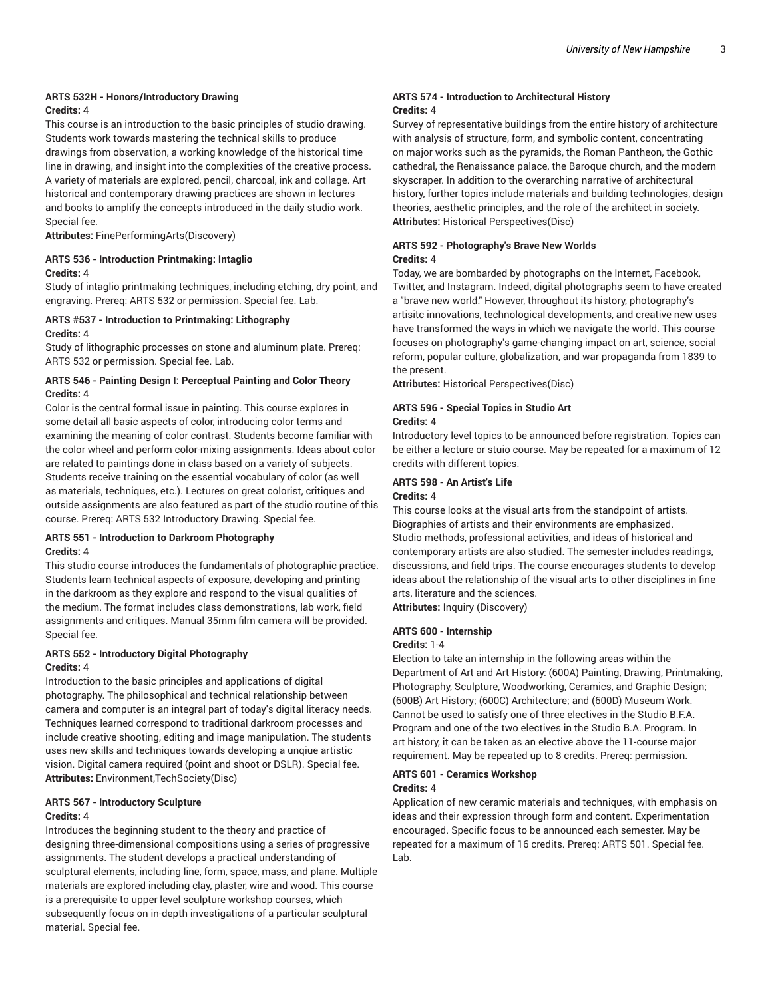#### **ARTS 532H - Honors/Introductory Drawing Credits:** 4

This course is an introduction to the basic principles of studio drawing. Students work towards mastering the technical skills to produce drawings from observation, a working knowledge of the historical time line in drawing, and insight into the complexities of the creative process. A variety of materials are explored, pencil, charcoal, ink and collage. Art historical and contemporary drawing practices are shown in lectures and books to amplify the concepts introduced in the daily studio work. Special fee.

**Attributes:** FinePerformingArts(Discovery)

#### **ARTS 536 - Introduction Printmaking: Intaglio Credits:** 4

Study of intaglio printmaking techniques, including etching, dry point, and engraving. Prereq: ARTS 532 or permission. Special fee. Lab.

#### **ARTS #537 - Introduction to Printmaking: Lithography Credits:** 4

Study of lithographic processes on stone and aluminum plate. Prereq: ARTS 532 or permission. Special fee. Lab.

#### **ARTS 546 - Painting Design I: Perceptual Painting and Color Theory Credits:** 4

Color is the central formal issue in painting. This course explores in some detail all basic aspects of color, introducing color terms and examining the meaning of color contrast. Students become familiar with the color wheel and perform color-mixing assignments. Ideas about color are related to paintings done in class based on a variety of subjects. Students receive training on the essential vocabulary of color (as well as materials, techniques, etc.). Lectures on great colorist, critiques and outside assignments are also featured as part of the studio routine of this course. Prereq: ARTS 532 Introductory Drawing. Special fee.

#### **ARTS 551 - Introduction to Darkroom Photography Credits:** 4

This studio course introduces the fundamentals of photographic practice. Students learn technical aspects of exposure, developing and printing in the darkroom as they explore and respond to the visual qualities of the medium. The format includes class demonstrations, lab work, field assignments and critiques. Manual 35mm film camera will be provided. Special fee.

#### **ARTS 552 - Introductory Digital Photography Credits:** 4

Introduction to the basic principles and applications of digital photography. The philosophical and technical relationship between camera and computer is an integral part of today's digital literacy needs. Techniques learned correspond to traditional darkroom processes and include creative shooting, editing and image manipulation. The students uses new skills and techniques towards developing a unqiue artistic vision. Digital camera required (point and shoot or DSLR). Special fee. **Attributes:** Environment,TechSociety(Disc)

#### **ARTS 567 - Introductory Sculpture**

#### **Credits:** 4

Introduces the beginning student to the theory and practice of designing three-dimensional compositions using a series of progressive assignments. The student develops a practical understanding of sculptural elements, including line, form, space, mass, and plane. Multiple materials are explored including clay, plaster, wire and wood. This course is a prerequisite to upper level sculpture workshop courses, which subsequently focus on in-depth investigations of a particular sculptural material. Special fee.

#### **ARTS 574 - Introduction to Architectural History Credits:** 4

Survey of representative buildings from the entire history of architecture with analysis of structure, form, and symbolic content, concentrating on major works such as the pyramids, the Roman Pantheon, the Gothic cathedral, the Renaissance palace, the Baroque church, and the modern skyscraper. In addition to the overarching narrative of architectural history, further topics include materials and building technologies, design theories, aesthetic principles, and the role of the architect in society. **Attributes:** Historical Perspectives(Disc)

#### **ARTS 592 - Photography's Brave New Worlds Credits:** 4

Today, we are bombarded by photographs on the Internet, Facebook, Twitter, and Instagram. Indeed, digital photographs seem to have created a "brave new world." However, throughout its history, photography's artisitc innovations, technological developments, and creative new uses have transformed the ways in which we navigate the world. This course focuses on photography's game-changing impact on art, science, social reform, popular culture, globalization, and war propaganda from 1839 to the present.

**Attributes:** Historical Perspectives(Disc)

#### **ARTS 596 - Special Topics in Studio Art Credits:** 4

Introductory level topics to be announced before registration. Topics can be either a lecture or stuio course. May be repeated for a maximum of 12 credits with different topics.

#### **ARTS 598 - An Artist's Life**

#### **Credits:** 4

This course looks at the visual arts from the standpoint of artists. Biographies of artists and their environments are emphasized. Studio methods, professional activities, and ideas of historical and contemporary artists are also studied. The semester includes readings, discussions, and field trips. The course encourages students to develop ideas about the relationship of the visual arts to other disciplines in fine arts, literature and the sciences.

**Attributes:** Inquiry (Discovery)

#### **ARTS 600 - Internship**

#### **Credits:** 1-4

Election to take an internship in the following areas within the Department of Art and Art History: (600A) Painting, Drawing, Printmaking, Photography, Sculpture, Woodworking, Ceramics, and Graphic Design; (600B) Art History; (600C) Architecture; and (600D) Museum Work. Cannot be used to satisfy one of three electives in the Studio B.F.A. Program and one of the two electives in the Studio B.A. Program. In art history, it can be taken as an elective above the 11-course major requirement. May be repeated up to 8 credits. Prereq: permission.

#### **ARTS 601 - Ceramics Workshop Credits:** 4

Application of new ceramic materials and techniques, with emphasis on ideas and their expression through form and content. Experimentation encouraged. Specific focus to be announced each semester. May be repeated for a maximum of 16 credits. Prereq: ARTS 501. Special fee. Lab.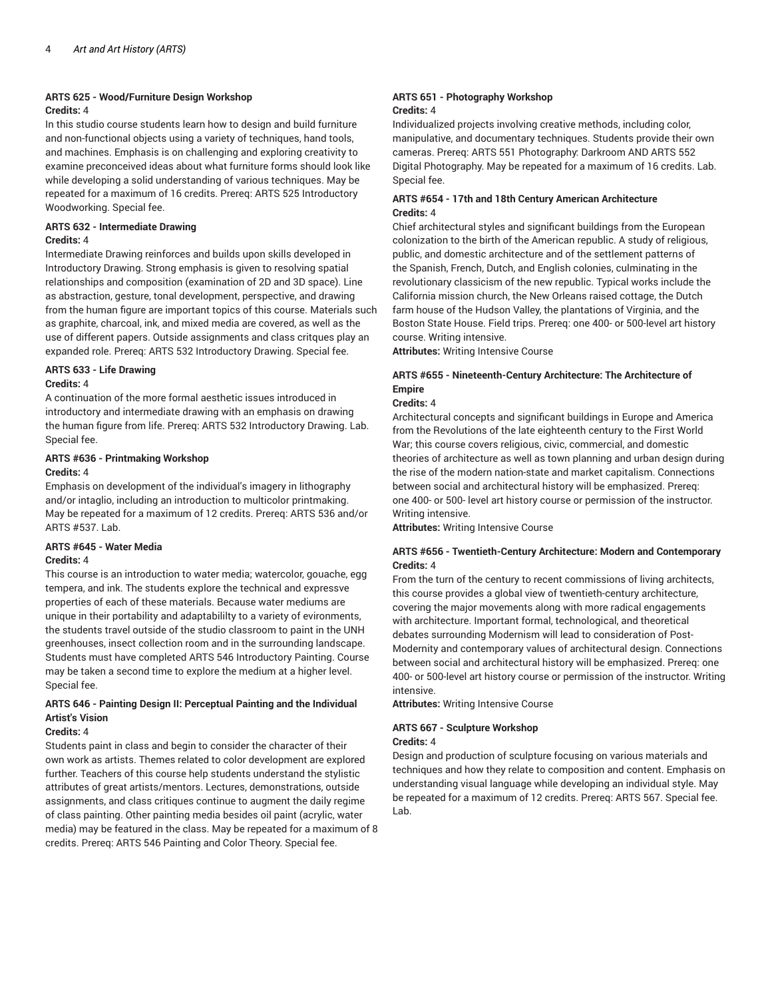### **ARTS 625 - Wood/Furniture Design Workshop**

#### **Credits:** 4

In this studio course students learn how to design and build furniture and non-functional objects using a variety of techniques, hand tools, and machines. Emphasis is on challenging and exploring creativity to examine preconceived ideas about what furniture forms should look like while developing a solid understanding of various techniques. May be repeated for a maximum of 16 credits. Prereq: ARTS 525 Introductory Woodworking. Special fee.

#### **ARTS 632 - Intermediate Drawing Credits:** 4

Intermediate Drawing reinforces and builds upon skills developed in Introductory Drawing. Strong emphasis is given to resolving spatial relationships and composition (examination of 2D and 3D space). Line as abstraction, gesture, tonal development, perspective, and drawing from the human figure are important topics of this course. Materials such as graphite, charcoal, ink, and mixed media are covered, as well as the use of different papers. Outside assignments and class critques play an expanded role. Prereq: ARTS 532 Introductory Drawing. Special fee.

#### **ARTS 633 - Life Drawing Credits:** 4

A continuation of the more formal aesthetic issues introduced in introductory and intermediate drawing with an emphasis on drawing the human figure from life. Prereq: ARTS 532 Introductory Drawing. Lab. Special fee.

#### **ARTS #636 - Printmaking Workshop**

#### **Credits:** 4

Emphasis on development of the individual's imagery in lithography and/or intaglio, including an introduction to multicolor printmaking. May be repeated for a maximum of 12 credits. Prereq: ARTS 536 and/or ARTS #537. Lab.

#### **ARTS #645 - Water Media**

#### **Credits:** 4

This course is an introduction to water media; watercolor, gouache, egg tempera, and ink. The students explore the technical and expressve properties of each of these materials. Because water mediums are unique in their portability and adaptabililty to a variety of evironments, the students travel outside of the studio classroom to paint in the UNH greenhouses, insect collection room and in the surrounding landscape. Students must have completed ARTS 546 Introductory Painting. Course may be taken a second time to explore the medium at a higher level. Special fee.

#### **ARTS 646 - Painting Design II: Perceptual Painting and the Individual Artist's Vision**

#### **Credits:** 4

Students paint in class and begin to consider the character of their own work as artists. Themes related to color development are explored further. Teachers of this course help students understand the stylistic attributes of great artists/mentors. Lectures, demonstrations, outside assignments, and class critiques continue to augment the daily regime of class painting. Other painting media besides oil paint (acrylic, water media) may be featured in the class. May be repeated for a maximum of 8 credits. Prereq: ARTS 546 Painting and Color Theory. Special fee.

#### **ARTS 651 - Photography Workshop Credits:** 4

Individualized projects involving creative methods, including color, manipulative, and documentary techniques. Students provide their own cameras. Prereq: ARTS 551 Photography: Darkroom AND ARTS 552 Digital Photography. May be repeated for a maximum of 16 credits. Lab. Special fee.

#### **ARTS #654 - 17th and 18th Century American Architecture Credits:** 4

Chief architectural styles and significant buildings from the European colonization to the birth of the American republic. A study of religious, public, and domestic architecture and of the settlement patterns of the Spanish, French, Dutch, and English colonies, culminating in the revolutionary classicism of the new republic. Typical works include the California mission church, the New Orleans raised cottage, the Dutch farm house of the Hudson Valley, the plantations of Virginia, and the Boston State House. Field trips. Prereq: one 400- or 500-level art history course. Writing intensive.

**Attributes:** Writing Intensive Course

#### **ARTS #655 - Nineteenth-Century Architecture: The Architecture of Empire**

#### **Credits:** 4

Architectural concepts and significant buildings in Europe and America from the Revolutions of the late eighteenth century to the First World War; this course covers religious, civic, commercial, and domestic theories of architecture as well as town planning and urban design during the rise of the modern nation-state and market capitalism. Connections between social and architectural history will be emphasized. Prereq: one 400- or 500- level art history course or permission of the instructor. Writing intensive.

**Attributes:** Writing Intensive Course

#### **ARTS #656 - Twentieth-Century Architecture: Modern and Contemporary Credits:** 4

From the turn of the century to recent commissions of living architects, this course provides a global view of twentieth-century architecture, covering the major movements along with more radical engagements with architecture. Important formal, technological, and theoretical debates surrounding Modernism will lead to consideration of Post-Modernity and contemporary values of architectural design. Connections between social and architectural history will be emphasized. Prereq: one 400- or 500-level art history course or permission of the instructor. Writing intensive.

**Attributes:** Writing Intensive Course

### **ARTS 667 - Sculpture Workshop**

#### **Credits:** 4

Design and production of sculpture focusing on various materials and techniques and how they relate to composition and content. Emphasis on understanding visual language while developing an individual style. May be repeated for a maximum of 12 credits. Prereq: ARTS 567. Special fee. Lab.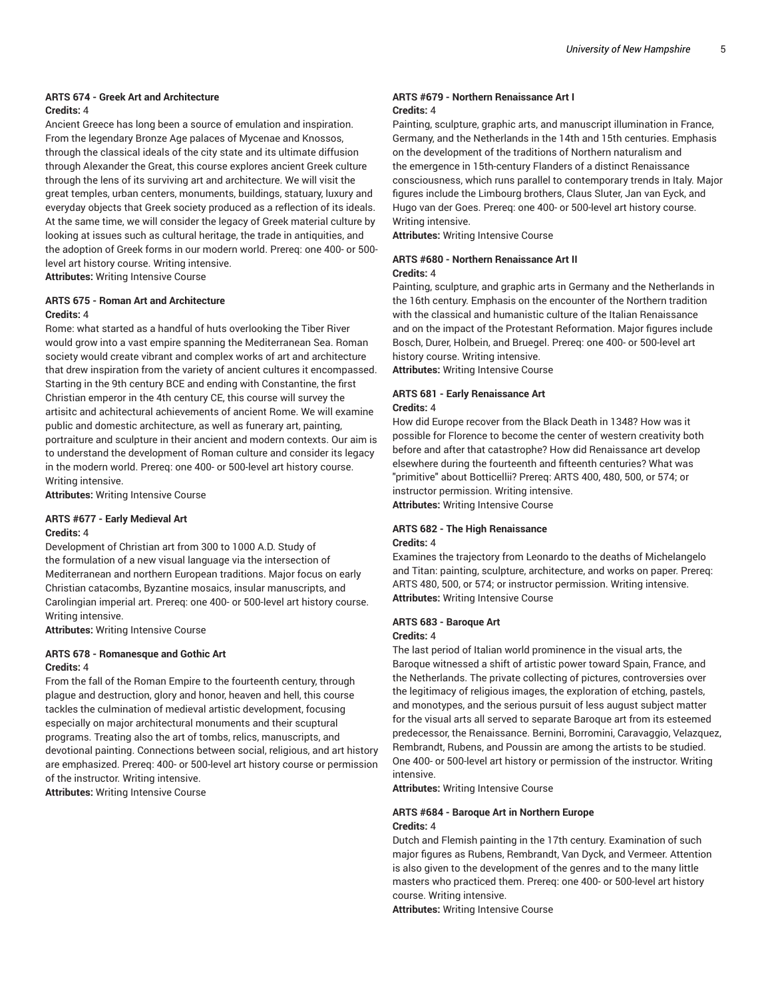#### **ARTS 674 - Greek Art and Architecture Credits:** 4

Ancient Greece has long been a source of emulation and inspiration. From the legendary Bronze Age palaces of Mycenae and Knossos, through the classical ideals of the city state and its ultimate diffusion through Alexander the Great, this course explores ancient Greek culture through the lens of its surviving art and architecture. We will visit the great temples, urban centers, monuments, buildings, statuary, luxury and everyday objects that Greek society produced as a reflection of its ideals. At the same time, we will consider the legacy of Greek material culture by looking at issues such as cultural heritage, the trade in antiquities, and the adoption of Greek forms in our modern world. Prereq: one 400- or 500 level art history course. Writing intensive. **Attributes:** Writing Intensive Course

#### **ARTS 675 - Roman Art and Architecture Credits:** 4

Rome: what started as a handful of huts overlooking the Tiber River would grow into a vast empire spanning the Mediterranean Sea. Roman society would create vibrant and complex works of art and architecture that drew inspiration from the variety of ancient cultures it encompassed. Starting in the 9th century BCE and ending with Constantine, the first Christian emperor in the 4th century CE, this course will survey the artisitc and achitectural achievements of ancient Rome. We will examine public and domestic architecture, as well as funerary art, painting, portraiture and sculpture in their ancient and modern contexts. Our aim is to understand the development of Roman culture and consider its legacy in the modern world. Prereq: one 400- or 500-level art history course. Writing intensive.

**Attributes:** Writing Intensive Course

#### **ARTS #677 - Early Medieval Art Credits:** 4

Development of Christian art from 300 to 1000 A.D. Study of the formulation of a new visual language via the intersection of Mediterranean and northern European traditions. Major focus on early Christian catacombs, Byzantine mosaics, insular manuscripts, and Carolingian imperial art. Prereq: one 400- or 500-level art history course. Writing intensive.

**Attributes:** Writing Intensive Course

#### **ARTS 678 - Romanesque and Gothic Art Credits:** 4

From the fall of the Roman Empire to the fourteenth century, through plague and destruction, glory and honor, heaven and hell, this course tackles the culmination of medieval artistic development, focusing especially on major architectural monuments and their scuptural programs. Treating also the art of tombs, relics, manuscripts, and devotional painting. Connections between social, religious, and art history are emphasized. Prereq: 400- or 500-level art history course or permission of the instructor. Writing intensive.

**Attributes:** Writing Intensive Course

#### **ARTS #679 - Northern Renaissance Art I Credits:** 4

Painting, sculpture, graphic arts, and manuscript illumination in France, Germany, and the Netherlands in the 14th and 15th centuries. Emphasis on the development of the traditions of Northern naturalism and the emergence in 15th-century Flanders of a distinct Renaissance consciousness, which runs parallel to contemporary trends in Italy. Major figures include the Limbourg brothers, Claus Sluter, Jan van Eyck, and Hugo van der Goes. Prereq: one 400- or 500-level art history course. Writing intensive.

**Attributes:** Writing Intensive Course

#### **ARTS #680 - Northern Renaissance Art II Credits:** 4

Painting, sculpture, and graphic arts in Germany and the Netherlands in the 16th century. Emphasis on the encounter of the Northern tradition with the classical and humanistic culture of the Italian Renaissance and on the impact of the Protestant Reformation. Major figures include Bosch, Durer, Holbein, and Bruegel. Prereq: one 400- or 500-level art history course. Writing intensive.

**Attributes:** Writing Intensive Course

#### **ARTS 681 - Early Renaissance Art Credits:** 4

How did Europe recover from the Black Death in 1348? How was it possible for Florence to become the center of western creativity both before and after that catastrophe? How did Renaissance art develop elsewhere during the fourteenth and fifteenth centuries? What was "primitive" about Botticellii? Prereq: ARTS 400, 480, 500, or 574; or instructor permission. Writing intensive. **Attributes:** Writing Intensive Course

#### **ARTS 682 - The High Renaissance**

#### **Credits:** 4

Examines the trajectory from Leonardo to the deaths of Michelangelo and Titan: painting, sculpture, architecture, and works on paper. Prereq: ARTS 480, 500, or 574; or instructor permission. Writing intensive. **Attributes:** Writing Intensive Course

#### **ARTS 683 - Baroque Art Credits:** 4

The last period of Italian world prominence in the visual arts, the Baroque witnessed a shift of artistic power toward Spain, France, and the Netherlands. The private collecting of pictures, controversies over the legitimacy of religious images, the exploration of etching, pastels, and monotypes, and the serious pursuit of less august subject matter for the visual arts all served to separate Baroque art from its esteemed predecessor, the Renaissance. Bernini, Borromini, Caravaggio, Velazquez, Rembrandt, Rubens, and Poussin are among the artists to be studied. One 400- or 500-level art history or permission of the instructor. Writing intensive.

**Attributes:** Writing Intensive Course

#### **ARTS #684 - Baroque Art in Northern Europe Credits:** 4

Dutch and Flemish painting in the 17th century. Examination of such major figures as Rubens, Rembrandt, Van Dyck, and Vermeer. Attention is also given to the development of the genres and to the many little masters who practiced them. Prereq: one 400- or 500-level art history course. Writing intensive.

**Attributes:** Writing Intensive Course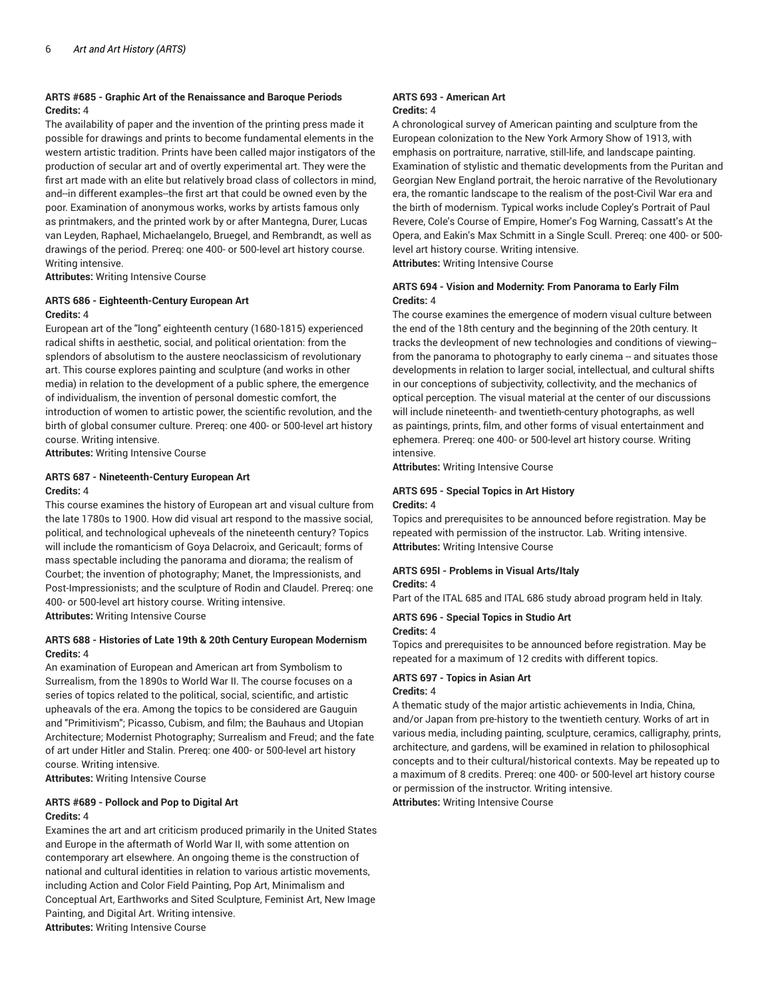#### **ARTS #685 - Graphic Art of the Renaissance and Baroque Periods Credits:** 4

The availability of paper and the invention of the printing press made it possible for drawings and prints to become fundamental elements in the western artistic tradition. Prints have been called major instigators of the production of secular art and of overtly experimental art. They were the first art made with an elite but relatively broad class of collectors in mind, and--in different examples--the first art that could be owned even by the poor. Examination of anonymous works, works by artists famous only as printmakers, and the printed work by or after Mantegna, Durer, Lucas van Leyden, Raphael, Michaelangelo, Bruegel, and Rembrandt, as well as drawings of the period. Prereq: one 400- or 500-level art history course. Writing intensive.

**Attributes:** Writing Intensive Course

#### **ARTS 686 - Eighteenth-Century European Art Credits:** 4

European art of the "long" eighteenth century (1680-1815) experienced radical shifts in aesthetic, social, and political orientation: from the splendors of absolutism to the austere neoclassicism of revolutionary art. This course explores painting and sculpture (and works in other media) in relation to the development of a public sphere, the emergence of individualism, the invention of personal domestic comfort, the introduction of women to artistic power, the scientific revolution, and the birth of global consumer culture. Prereq: one 400- or 500-level art history course. Writing intensive.

**Attributes:** Writing Intensive Course

#### **ARTS 687 - Nineteenth-Century European Art Credits:** 4

This course examines the history of European art and visual culture from the late 1780s to 1900. How did visual art respond to the massive social, political, and technological upheveals of the nineteenth century? Topics will include the romanticism of Goya Delacroix, and Gericault; forms of mass spectable including the panorama and diorama; the realism of Courbet; the invention of photography; Manet, the Impressionists, and Post-Impressionists; and the sculpture of Rodin and Claudel. Prereq: one 400- or 500-level art history course. Writing intensive. **Attributes:** Writing Intensive Course

#### **ARTS 688 - Histories of Late 19th & 20th Century European Modernism Credits:** 4

An examination of European and American art from Symbolism to Surrealism, from the 1890s to World War II. The course focuses on a series of topics related to the political, social, scientific, and artistic upheavals of the era. Among the topics to be considered are Gauguin and "Primitivism"; Picasso, Cubism, and film; the Bauhaus and Utopian Architecture; Modernist Photography; Surrealism and Freud; and the fate of art under Hitler and Stalin. Prereq: one 400- or 500-level art history course. Writing intensive.

**Attributes:** Writing Intensive Course

#### **ARTS #689 - Pollock and Pop to Digital Art Credits:** 4

Examines the art and art criticism produced primarily in the United States and Europe in the aftermath of World War II, with some attention on contemporary art elsewhere. An ongoing theme is the construction of national and cultural identities in relation to various artistic movements, including Action and Color Field Painting, Pop Art, Minimalism and Conceptual Art, Earthworks and Sited Sculpture, Feminist Art, New Image Painting, and Digital Art. Writing intensive. **Attributes:** Writing Intensive Course

#### **ARTS 693 - American Art Credits:** 4

A chronological survey of American painting and sculpture from the European colonization to the New York Armory Show of 1913, with emphasis on portraiture, narrative, still-life, and landscape painting. Examination of stylistic and thematic developments from the Puritan and Georgian New England portrait, the heroic narrative of the Revolutionary era, the romantic landscape to the realism of the post-Civil War era and the birth of modernism. Typical works include Copley's Portrait of Paul Revere, Cole's Course of Empire, Homer's Fog Warning, Cassatt's At the Opera, and Eakin's Max Schmitt in a Single Scull. Prereq: one 400- or 500 level art history course. Writing intensive. **Attributes:** Writing Intensive Course

**ARTS 694 - Vision and Modernity: From Panorama to Early Film Credits:** 4

#### The course examines the emergence of modern visual culture between the end of the 18th century and the beginning of the 20th century. It tracks the devleopment of new technologies and conditions of viewing- from the panorama to photography to early cinema -- and situates those developments in relation to larger social, intellectual, and cultural shifts in our conceptions of subjectivity, collectivity, and the mechanics of optical perception. The visual material at the center of our discussions will include nineteenth- and twentieth-century photographs, as well as paintings, prints, film, and other forms of visual entertainment and ephemera. Prereq: one 400- or 500-level art history course. Writing intensive.

**Attributes:** Writing Intensive Course

#### **ARTS 695 - Special Topics in Art History Credits:** 4

Topics and prerequisites to be announced before registration. May be repeated with permission of the instructor. Lab. Writing intensive. **Attributes:** Writing Intensive Course

#### **ARTS 695I - Problems in Visual Arts/Italy**

#### **Credits:** 4

Part of the ITAL 685 and ITAL 686 study abroad program held in Italy.

#### **ARTS 696 - Special Topics in Studio Art**

#### **Credits:** 4

Topics and prerequisites to be announced before registration. May be repeated for a maximum of 12 credits with different topics.

#### **ARTS 697 - Topics in Asian Art**

#### **Credits:** 4

A thematic study of the major artistic achievements in India, China, and/or Japan from pre-history to the twentieth century. Works of art in various media, including painting, sculpture, ceramics, calligraphy, prints, architecture, and gardens, will be examined in relation to philosophical concepts and to their cultural/historical contexts. May be repeated up to a maximum of 8 credits. Prereq: one 400- or 500-level art history course or permission of the instructor. Writing intensive.

**Attributes:** Writing Intensive Course